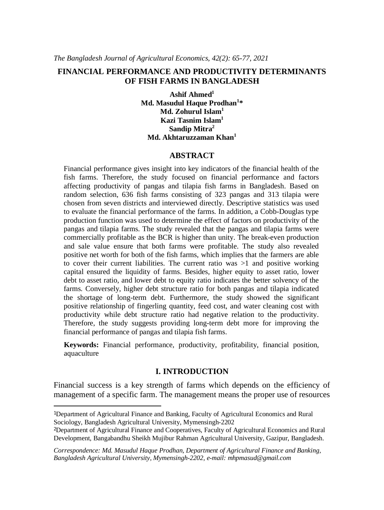# **FINANCIAL PERFORMANCE AND PRODUCTIVITY DETERMINANTS OF FISH FARMS IN BANGLADESH**

**Ashif Ahmed<sup>1</sup> Md. Masudul Haque Prodhan<sup>1</sup> \* Md. Zohurul Islam<sup>1</sup> Kazi Tasnim Islam<sup>1</sup> Sandip Mitra<sup>2</sup> Md. Akhtaruzzaman Khan<sup>1</sup>**

#### **ABSTRACT**

Financial performance gives insight into key indicators of the financial health of the fish farms. Therefore, the study focused on financial performance and factors affecting productivity of pangas and tilapia fish farms in Bangladesh. Based on random selection, 636 fish farms consisting of 323 pangas and 313 tilapia were chosen from seven districts and interviewed directly. Descriptive statistics was used to evaluate the financial performance of the farms. In addition, a Cobb-Douglas type production function was used to determine the effect of factors on productivity of the pangas and tilapia farms. The study revealed that the pangas and tilapia farms were commercially profitable as the BCR is higher than unity. The break-even production and sale value ensure that both farms were profitable. The study also revealed positive net worth for both of the fish farms, which implies that the farmers are able to cover their current liabilities. The current ratio was  $>1$  and positive working capital ensured the liquidity of farms. Besides, higher equity to asset ratio, lower debt to asset ratio, and lower debt to equity ratio indicates the better solvency of the farms. Conversely, higher debt structure ratio for both pangas and tilapia indicated the shortage of long-term debt. Furthermore, the study showed the significant positive relationship of fingerling quantity, feed cost, and water cleaning cost with productivity while debt structure ratio had negative relation to the productivity. Therefore, the study suggests providing long-term debt more for improving the financial performance of pangas and tilapia fish farms.

**Keywords:** Financial performance, productivity, profitability, financial position, aquaculture

## **I. INTRODUCTION**

Financial success is a key strength of farms which depends on the efficiency of management of a specific farm. The management means the proper use of resources

<sup>1</sup>Department of Agricultural Finance and Banking, Faculty of Agricultural Economics and Rural Sociology, Bangladesh Agricultural University, Mymensingh-2202

<sup>2</sup>Department of Agricultural Finance and Cooperatives, Faculty of Agricultural Economics and Rural Development, Bangabandhu Sheikh Mujibur Rahman Agricultural University, Gazipur, Bangladesh.

*Correspondence: Md. Masudul Haque Prodhan, Department of Agricultural Finance and Banking, Bangladesh Agricultural University, Mymensingh-2202, e-mail: mhpmasud@gmail.com*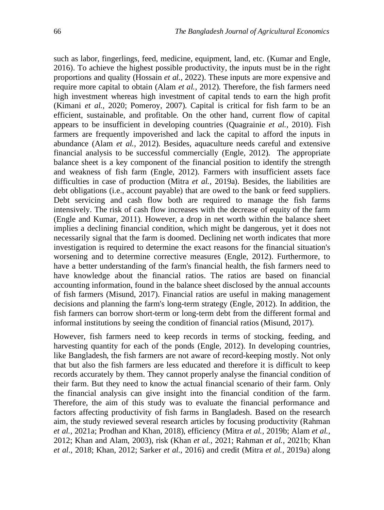such as labor, fingerlings, feed, medicine, equipment, land, etc. (Kumar and Engle, 2016). To achieve the highest possible productivity, the inputs must be in the right proportions and quality (Hossain *et al.,* 2022). These inputs are more expensive and require more capital to obtain (Alam *et al.,* 2012). Therefore, the fish farmers need high investment whereas high investment of capital tends to earn the high profit (Kimani *et al.,* 2020; Pomeroy, 2007). Capital is critical for fish farm to be an efficient, sustainable, and profitable. On the other hand, current flow of capital appears to be insufficient in developing countries (Quagrainie *et al.,* 2010). Fish farmers are frequently impoverished and lack the capital to afford the inputs in abundance (Alam *et al.,* 2012). Besides, aquaculture needs careful and extensive financial analysis to be successful commercially (Engle, 2012). The appropriate balance sheet is a key component of the financial position to identify the strength and weakness of fish farm (Engle, 2012). Farmers with insufficient assets face difficulties in case of production (Mitra *et al.,* 2019a). Besides, the liabilities are debt obligations (i.e., account payable) that are owed to the bank or feed suppliers. Debt servicing and cash flow both are required to manage the fish farms intensively. The risk of cash flow increases with the decrease of equity of the farm (Engle and Kumar, 2011). However, a drop in net worth within the balance sheet implies a declining financial condition, which might be dangerous, yet it does not necessarily signal that the farm is doomed. Declining net worth indicates that more investigation is required to determine the exact reasons for the financial situation's worsening and to determine corrective measures (Engle, 2012). Furthermore, to have a better understanding of the farm's financial health, the fish farmers need to have knowledge about the financial ratios. The ratios are based on financial accounting information, found in the balance sheet disclosed by the annual accounts of fish farmers (Misund, 2017). Financial ratios are useful in making management decisions and planning the farm's long-term strategy (Engle, 2012). In addition, the fish farmers can borrow short-term or long-term debt from the different formal and informal institutions by seeing the condition of financial ratios (Misund, 2017).

However, fish farmers need to keep records in terms of stocking, feeding, and harvesting quantity for each of the ponds (Engle, 2012). In developing countries, like Bangladesh, the fish farmers are not aware of record-keeping mostly. Not only that but also the fish farmers are less educated and therefore it is difficult to keep records accurately by them. They cannot properly analyse the financial condition of their farm. But they need to know the actual financial scenario of their farm. Only the financial analysis can give insight into the financial condition of the farm. Therefore, the aim of this study was to evaluate the financial performance and factors affecting productivity of fish farms in Bangladesh. Based on the research aim, the study reviewed several research articles by focusing productivity (Rahman *et al.,* 2021a; Prodhan and Khan, 2018), efficiency (Mitra *et al.,* 2019b; Alam *et al.,* 2012; Khan and Alam, 2003), risk (Khan *et al.,* 2021; Rahman *et al.,* 2021b; Khan *et al.,* 2018; Khan, 2012; Sarker *et al.,* 2016) and credit (Mitra *et al.,* 2019a) along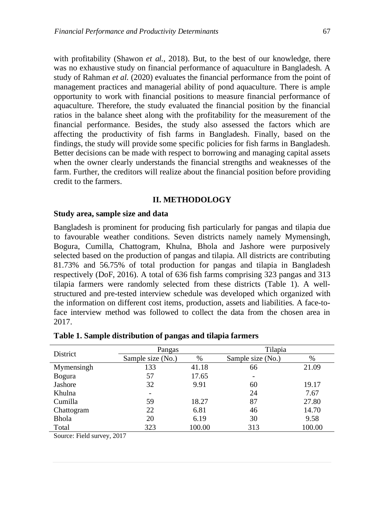with profitability (Shawon *et al.,* 2018). But, to the best of our knowledge, there was no exhaustive study on financial performance of aquaculture in Bangladesh. A study of Rahman *et al.* (2020) evaluates the financial performance from the point of management practices and managerial ability of pond aquaculture. There is ample opportunity to work with financial positions to measure financial performance of aquaculture. Therefore, the study evaluated the financial position by the financial ratios in the balance sheet along with the profitability for the measurement of the financial performance. Besides, the study also assessed the factors which are affecting the productivity of fish farms in Bangladesh. Finally, based on the findings, the study will provide some specific policies for fish farms in Bangladesh. Better decisions can be made with respect to borrowing and managing capital assets when the owner clearly understands the financial strengths and weaknesses of the farm. Further, the creditors will realize about the financial position before providing credit to the farmers.

## **II. METHODOLOGY**

## **Study area, sample size and data**

Bangladesh is prominent for producing fish particularly for pangas and tilapia due to favourable weather conditions. Seven districts namely namely Mymensingh, Bogura, Cumilla, Chattogram, Khulna, Bhola and Jashore were purposively selected based on the production of pangas and tilapia. All districts are contributing 81.73% and 56.75% of total production for pangas and tilapia in Bangladesh respectively (DoF, 2016). A total of 636 fish farms comprising 323 pangas and 313 tilapia farmers were randomly selected from these districts (Table 1). A wellstructured and pre-tested interview schedule was developed which organized with the information on different cost items, production, assets and liabilities. A face-toface interview method was followed to collect the data from the chosen area in 2017.

| <b>District</b> | Pangas            |        | Tilapia           |        |  |
|-----------------|-------------------|--------|-------------------|--------|--|
|                 | Sample size (No.) | %      | Sample size (No.) | %      |  |
| Mymensingh      | 133               | 41.18  | 66                | 21.09  |  |
| <b>Bogura</b>   | 57                | 17.65  | -                 |        |  |
| Jashore         | 32                | 9.91   | 60                | 19.17  |  |
| Khulna          | ۰                 |        | 24                | 7.67   |  |
| Cumilla         | 59                | 18.27  | 87                | 27.80  |  |
| Chattogram      | 22                | 6.81   | 46                | 14.70  |  |
| <b>Bhola</b>    | 20                | 6.19   | 30                | 9.58   |  |
| Total           | 323               | 100.00 | 313               | 100.00 |  |

#### **Table 1. Sample distribution of pangas and tilapia farmers**

Source: Field survey, 2017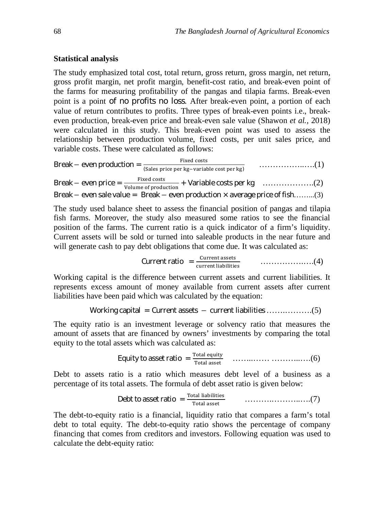# **Statistical analysis**

The study emphasized total cost, total return, gross return, gross margin, net return, gross profit margin, net profit margin, benefit-cost ratio, and break-even point of the farms for measuring profitability of the pangas and tilapia farms. Break-even point is a point of no profits no loss. After break-even point, a portion of each value of return contributes to profits. Three types of break-even points i.e., breakeven production, break-even price and break-even sale value (Shawon *et al.,* 2018) were calculated in this study. This break-even point was used to assess the relationship between production volume, fixed costs, per unit sales price, and variable costs. These were calculated as follows:

Break െ even production = ୧୶ୣୢ ୡ୭ୱ୲ୱ (ୗୟ୪ୣୱ ୮୰୧ୡୣ ୮ୣ୰ ୩ି୴ୟ୰୧ୟୠ୪ୣ ୡ୭ୱ୲ ୮ୣ୰ ୩) ……………..….(1) Break െ even price = ୧୶ୣୢ ୡ୭ୱ୲ୱ ୭୪୳୫ୣ ୭ ୮୰୭ୢ୳ୡ୲୧୭୬ + Variable costs per kg……………….(2) Break െ even sale value = Break െ even production × average price of fish……...(3)

The study used balance sheet to assess the financial position of pangas and tilapia fish farms. Moreover, the study also measured some ratios to see the financial position of the farms. The current ratio is a quick indicator of a firm's liquidity. Current assets will be sold or turned into saleable products in the near future and will generate cash to pay debt obligations that come due. It was calculated as:

**Current ratio** = 
$$
\frac{\text{Current assets}}{\text{current liabilities}}
$$
  $\ldots$   $(4)$ 

Working capital is the difference between current assets and current liabilities. It represents excess amount of money available from current assets after current liabilities have been paid which was calculated by the equation:

Working capital = Current assets – current liabilities 
$$
............(5)
$$

The equity ratio is an investment leverage or solvency ratio that measures the amount of assets that are financed by owners' investments by comparing the total equity to the total assets which was calculated as:

Equity to asset ratio = ୭୲ୟ୪ ୣ୯୳୧୲୷ ୭୲ୟ୪ ୟୱୱୣ୲ ……..…… ………..….(6)

Debt to assets ratio is a ratio which measures debt level of a business as a percentage of its total assets. The formula of debt asset ratio is given below:

**Debt to asset ratio** = 
$$
\frac{\text{Total liabilities}}{\text{Total asset}}
$$
 (7)

The debt-to-equity ratio is a financial, liquidity ratio that compares a farm's total debt to total equity. The debt-to-equity ratio shows the percentage of company financing that comes from creditors and investors. Following equation was used to calculate the debt-equity ratio: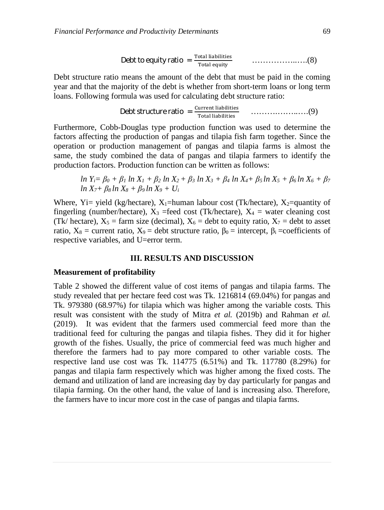Debt to equity ratio = ୭୲ୟ୪ ୪୧ୟୠ୧୪୧୲୧ୣୱ ୭୲ୟ୪ ୣ୯୳୧୲୷ ……………..….(8)

Debt structure ratio means the amount of the debt that must be paid in the coming year and that the majority of the debt is whether from short-term loans or long term loans. Following formula was used for calculating debt structure ratio:

**Debt structure ratio** = 
$$
\frac{\text{Current liabilities}}{\text{Total liabilities}}
$$
 .......(9)

Furthermore, Cobb-Douglas type production function was used to determine the factors affecting the production of pangas and tilapia fish farm together. Since the operation or production management of pangas and tilapia farms is almost the same, the study combined the data of pangas and tilapia farmers to identify the production factors. Production function can be written as follows:

 $\ln Y_i = \beta_0 + \beta_1 \ln X_1 + \beta_2 \ln X_2 + \beta_3 \ln X_3 + \beta_4 \ln X_4 + \beta_5 \ln X_5 + \beta_6 \ln X_6 + \beta_7$  $ln X_7 + B_8 ln X_8 + B_9 ln X_9 + U_1$ 

Where, Yi= yield (kg/hectare),  $X_1$ =human labour cost (Tk/hectare),  $X_2$ =quantity of fingerling (number/hectare),  $X_3$  =feed cost (Tk/hectare),  $X_4$  = water cleaning cost (Tk/ hectare),  $X_5$  = farm size (decimal),  $X_6$  = debt to equity ratio,  $X_7$  = debt to asset ratio,  $X_8$  = current ratio,  $X_9$  = debt structure ratio,  $\beta_0$  = intercept,  $\beta_i$  =coefficients of respective variables, and U=error term.

### **III. RESULTS AND DISCUSSION**

### **Measurement of profitability**

Table 2 showed the different value of cost items of pangas and tilapia farms. The study revealed that per hectare feed cost was Tk. 1216814 (69.04%) for pangas and Tk. 979380 (68.97%) for tilapia which was higher among the variable costs. This result was consistent with the study of Mitra *et al.* (2019b) and Rahman *et al.* (2019). It was evident that the farmers used commercial feed more than the traditional feed for culturing the pangas and tilapia fishes. They did it for higher growth of the fishes. Usually, the price of commercial feed was much higher and therefore the farmers had to pay more compared to other variable costs. The respective land use cost was Tk. 114775 (6.51%) and Tk. 117780 (8.29%) for pangas and tilapia farm respectively which was higher among the fixed costs. The demand and utilization of land are increasing day by day particularly for pangas and tilapia farming. On the other hand, the value of land is increasing also. Therefore, the farmers have to incur more cost in the case of pangas and tilapia farms.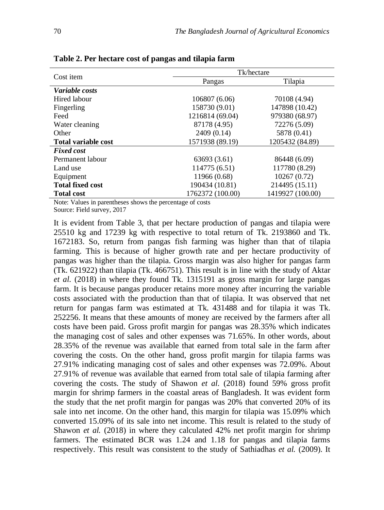| Cost item                  | Tk/hectare       |                  |  |  |
|----------------------------|------------------|------------------|--|--|
|                            | Pangas           | Tilapia          |  |  |
| <i>Variable costs</i>      |                  |                  |  |  |
| Hired labour               | 106807 (6.06)    | 70108 (4.94)     |  |  |
| Fingerling                 | 158730 (9.01)    | 147898 (10.42)   |  |  |
| Feed                       | 1216814 (69.04)  | 979380 (68.97)   |  |  |
| Water cleaning             | 87178 (4.95)     | 72276 (5.09)     |  |  |
| Other                      | 2409 (0.14)      | 5878 (0.41)      |  |  |
| <b>Total variable cost</b> | 1571938 (89.19)  | 1205432 (84.89)  |  |  |
| <b>Fixed cost</b>          |                  |                  |  |  |
| Permanent labour           | 63693 (3.61)     | 86448 (6.09)     |  |  |
| Land use                   | 114775 (6.51)    | 117780 (8.29)    |  |  |
| Equipment                  | 11966 (0.68)     | 10267(0.72)      |  |  |
| <b>Total fixed cost</b>    | 190434 (10.81)   | 214495 (15.11)   |  |  |
| <b>Total cost</b>          | 1762372 (100.00) | 1419927 (100.00) |  |  |

**Table 2. Per hectare cost of pangas and tilapia farm**

Note: Values in parentheses shows the percentage of costs

Source: Field survey, 2017

It is evident from Table 3, that per hectare production of pangas and tilapia were 25510 kg and 17239 kg with respective to total return of Tk. 2193860 and Tk. 1672183. So, return from pangas fish farming was higher than that of tilapia farming. This is because of higher growth rate and per hectare productivity of pangas was higher than the tilapia. Gross margin was also higher for pangas farm (Tk. 621922) than tilapia (Tk. 466751). This result is in line with the study of Aktar *et al.* (2018) in where they found Tk. 1315191 as gross margin for large pangas farm. It is because pangas producer retains more money after incurring the variable costs associated with the production than that of tilapia. It was observed that net return for pangas farm was estimated at Tk. 431488 and for tilapia it was Tk. 252256. It means that these amounts of money are received by the farmers after all costs have been paid. Gross profit margin for pangas was 28.35% which indicates the managing cost of sales and other expenses was 71.65%. In other words, about 28.35% of the revenue was available that earned from total sale in the farm after covering the costs. On the other hand, gross profit margin for tilapia farms was 27.91% indicating managing cost of sales and other expenses was 72.09%. About 27.91% of revenue was available that earned from total sale of tilapia farming after covering the costs. The study of Shawon *et al.* (2018) found 59% gross profit margin for shrimp farmers in the coastal areas of Bangladesh. It was evident form the study that the net profit margin for pangas was 20% that converted 20% of its sale into net income. On the other hand, this margin for tilapia was 15.09% which converted 15.09% of its sale into net income. This result is related to the study of Shawon *et al.* (2018) in where they calculated 42% net profit margin for shrimp farmers. The estimated BCR was 1.24 and 1.18 for pangas and tilapia farms respectively. This result was consistent to the study of Sathiadhas *et al.* (2009). It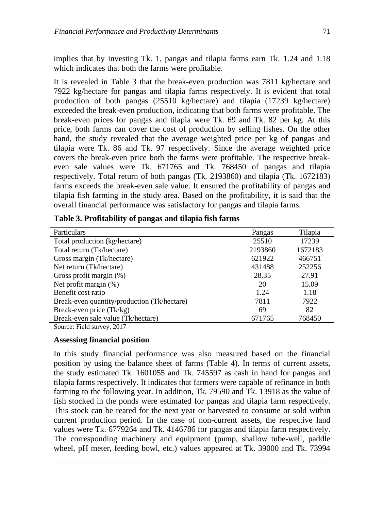implies that by investing Tk. 1, pangas and tilapia farms earn Tk. 1.24 and 1.18 which indicates that both the farms were profitable.

It is revealed in Table 3 that the break-even production was 7811 kg/hectare and 7922 kg/hectare for pangas and tilapia farms respectively. It is evident that total production of both pangas (25510 kg/hectare) and tilapia (17239 kg/hectare) exceeded the break-even production, indicating that both farms were profitable. The break-even prices for pangas and tilapia were Tk. 69 and Tk. 82 per kg. At this price, both farms can cover the cost of production by selling fishes. On the other hand, the study revealed that the average weighted price per kg of pangas and tilapia were Tk. 86 and Tk. 97 respectively. Since the average weighted price covers the break-even price both the farms were profitable. The respective breakeven sale values were Tk. 671765 and Tk. 768450 of pangas and tilapia respectively. Total return of both pangas (Tk. 2193860) and tilapia (Tk. 1672183) farms exceeds the break-even sale value. It ensured the profitability of pangas and tilapia fish farming in the study area. Based on the profitability, it is said that the overall financial performance was satisfactory for pangas and tilapia farms.

| Particulars                                 | Pangas  | Tilapia |
|---------------------------------------------|---------|---------|
| Total production (kg/hectare)               | 25510   | 17239   |
| Total return (Tk/hectare)                   | 2193860 | 1672183 |
| Gross margin (Tk/hectare)                   | 621922  | 466751  |
| Net return (Tk/hectare)                     | 431488  | 252256  |
| Gross profit margin (%)                     | 28.35   | 27.91   |
| Net profit margin $(\%)$                    | 20      | 15.09   |
| Benefit cost ratio                          | 1.24    | 1.18    |
| Break-even quantity/production (Tk/hectare) | 7811    | 7922    |
| Break-even price (Tk/kg)                    | 69      | 82      |
| Break-even sale value (Tk/hectare)          | 671765  | 768450  |
| Source: Field survey, 2017                  |         |         |

| Table 3. Profitability of pangas and tilapia fish farms |  |  |  |  |
|---------------------------------------------------------|--|--|--|--|
|                                                         |  |  |  |  |

# **Assessing financial position**

In this study financial performance was also measured based on the financial position by using the balance sheet of farms (Table 4). In terms of current assets, the study estimated Tk. 1601055 and Tk. 745597 as cash in hand for pangas and tilapia farms respectively. It indicates that farmers were capable of refinance in both farming to the following year. In addition, Tk. 79590 and Tk. 13918 as the value of fish stocked in the ponds were estimated for pangas and tilapia farm respectively. This stock can be reared for the next year or harvested to consume or sold within current production period. In the case of non-current assets, the respective land values were Tk. 6779264 and Tk. 4146786 for pangas and tilapia farm respectively. The corresponding machinery and equipment (pump, shallow tube-well, paddle wheel, pH meter, feeding bowl, etc.) values appeared at Tk. 39000 and Tk. 73994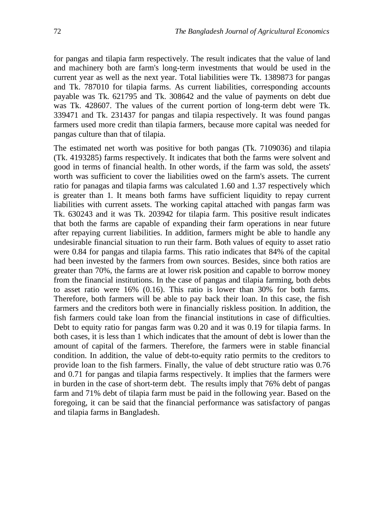for pangas and tilapia farm respectively. The result indicates that the value of land and machinery both are farm's long-term investments that would be used in the current year as well as the next year. Total liabilities were Tk. 1389873 for pangas and Tk. 787010 for tilapia farms. As current liabilities, corresponding accounts payable was Tk. 621795 and Tk. 308642 and the value of payments on debt due was Tk. 428607. The values of the current portion of long-term debt were Tk. 339471 and Tk. 231437 for pangas and tilapia respectively. It was found pangas farmers used more credit than tilapia farmers, because more capital was needed for pangas culture than that of tilapia.

The estimated net worth was positive for both pangas (Tk. 7109036) and tilapia (Tk. 4193285) farms respectively. It indicates that both the farms were solvent and good in terms of financial health. In other words, if the farm was sold, the assets' worth was sufficient to cover the liabilities owed on the farm's assets. The current ratio for panagas and tilapia farms was calculated 1.60 and 1.37 respectively which is greater than 1. It means both farms have sufficient liquidity to repay current liabilities with current assets. The working capital attached with pangas farm was Tk. 630243 and it was Tk. 203942 for tilapia farm. This positive result indicates that both the farms are capable of expanding their farm operations in near future after repaying current liabilities. In addition, farmers might be able to handle any undesirable financial situation to run their farm. Both values of equity to asset ratio were 0.84 for pangas and tilapia farms. This ratio indicates that 84% of the capital had been invested by the farmers from own sources. Besides, since both ratios are greater than 70%, the farms are at lower risk position and capable to borrow money from the financial institutions. In the case of pangas and tilapia farming, both debts to asset ratio were 16% (0.16). This ratio is lower than 30% for both farms. Therefore, both farmers will be able to pay back their loan. In this case, the fish farmers and the creditors both were in financially riskless position. In addition, the fish farmers could take loan from the financial institutions in case of difficulties. Debt to equity ratio for pangas farm was 0.20 and it was 0.19 for tilapia farms. In both cases, it is less than 1 which indicates that the amount of debt is lower than the amount of capital of the farmers. Therefore, the farmers were in stable financial condition. In addition, the value of debt-to-equity ratio permits to the creditors to provide loan to the fish farmers. Finally, the value of debt structure ratio was 0.76 and 0.71 for pangas and tilapia farms respectively. It implies that the farmers were in burden in the case of short-term debt. The results imply that 76% debt of pangas farm and 71% debt of tilapia farm must be paid in the following year. Based on the foregoing, it can be said that the financial performance was satisfactory of pangas and tilapia farms in Bangladesh.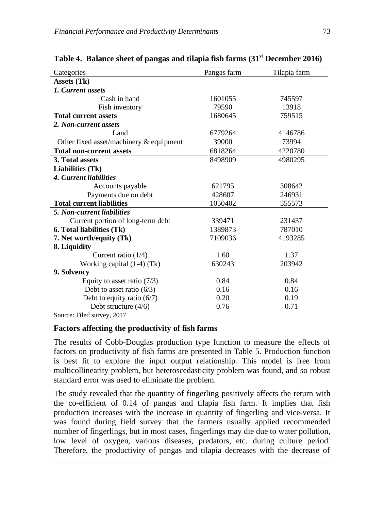| Tilapia farm<br>Categories<br>Pangas farm<br>Assets (Tk)<br>1. Current assets<br>Cash in hand<br>1601055<br>745597<br>79590<br>Fish inventory<br>13918<br>1680645<br>759515<br><b>Total current assets</b><br>2. Non-current assets<br>6779264<br>Land<br>4146786<br>Other fixed asset/machinery & equipment<br>39000<br>73994<br>6818264<br>4220780<br><b>Total non-current assets</b><br>3. Total assets<br>8498909<br>4980295<br><b>Liabilities (Tk)</b><br>4. Current liabilities<br>Accounts payable<br>621795<br>308642<br>Payments due on debt<br>428607<br>246931<br><b>Total current liabilities</b><br>1050402<br>555573<br>5. Non-current liabilities<br>Current portion of long-term debt<br>339471<br>231437<br>6. Total liabilities (Tk)<br>1389873<br>787010<br>7. Net worth/equity (Tk)<br>7109036<br>4193285<br>8. Liquidity<br>1.60<br>Current ratio $(1/4)$<br>1.37<br>630243<br>203942<br>Working capital $(1-4)$ (Tk)<br>9. Solvency<br>0.84<br>0.84<br>Equity to asset ratio $(7/3)$ |                             |  |
|------------------------------------------------------------------------------------------------------------------------------------------------------------------------------------------------------------------------------------------------------------------------------------------------------------------------------------------------------------------------------------------------------------------------------------------------------------------------------------------------------------------------------------------------------------------------------------------------------------------------------------------------------------------------------------------------------------------------------------------------------------------------------------------------------------------------------------------------------------------------------------------------------------------------------------------------------------------------------------------------------------|-----------------------------|--|
|                                                                                                                                                                                                                                                                                                                                                                                                                                                                                                                                                                                                                                                                                                                                                                                                                                                                                                                                                                                                            |                             |  |
|                                                                                                                                                                                                                                                                                                                                                                                                                                                                                                                                                                                                                                                                                                                                                                                                                                                                                                                                                                                                            |                             |  |
|                                                                                                                                                                                                                                                                                                                                                                                                                                                                                                                                                                                                                                                                                                                                                                                                                                                                                                                                                                                                            |                             |  |
|                                                                                                                                                                                                                                                                                                                                                                                                                                                                                                                                                                                                                                                                                                                                                                                                                                                                                                                                                                                                            |                             |  |
|                                                                                                                                                                                                                                                                                                                                                                                                                                                                                                                                                                                                                                                                                                                                                                                                                                                                                                                                                                                                            |                             |  |
|                                                                                                                                                                                                                                                                                                                                                                                                                                                                                                                                                                                                                                                                                                                                                                                                                                                                                                                                                                                                            |                             |  |
|                                                                                                                                                                                                                                                                                                                                                                                                                                                                                                                                                                                                                                                                                                                                                                                                                                                                                                                                                                                                            |                             |  |
|                                                                                                                                                                                                                                                                                                                                                                                                                                                                                                                                                                                                                                                                                                                                                                                                                                                                                                                                                                                                            |                             |  |
|                                                                                                                                                                                                                                                                                                                                                                                                                                                                                                                                                                                                                                                                                                                                                                                                                                                                                                                                                                                                            |                             |  |
|                                                                                                                                                                                                                                                                                                                                                                                                                                                                                                                                                                                                                                                                                                                                                                                                                                                                                                                                                                                                            |                             |  |
|                                                                                                                                                                                                                                                                                                                                                                                                                                                                                                                                                                                                                                                                                                                                                                                                                                                                                                                                                                                                            |                             |  |
|                                                                                                                                                                                                                                                                                                                                                                                                                                                                                                                                                                                                                                                                                                                                                                                                                                                                                                                                                                                                            |                             |  |
|                                                                                                                                                                                                                                                                                                                                                                                                                                                                                                                                                                                                                                                                                                                                                                                                                                                                                                                                                                                                            |                             |  |
|                                                                                                                                                                                                                                                                                                                                                                                                                                                                                                                                                                                                                                                                                                                                                                                                                                                                                                                                                                                                            |                             |  |
|                                                                                                                                                                                                                                                                                                                                                                                                                                                                                                                                                                                                                                                                                                                                                                                                                                                                                                                                                                                                            |                             |  |
|                                                                                                                                                                                                                                                                                                                                                                                                                                                                                                                                                                                                                                                                                                                                                                                                                                                                                                                                                                                                            |                             |  |
|                                                                                                                                                                                                                                                                                                                                                                                                                                                                                                                                                                                                                                                                                                                                                                                                                                                                                                                                                                                                            |                             |  |
|                                                                                                                                                                                                                                                                                                                                                                                                                                                                                                                                                                                                                                                                                                                                                                                                                                                                                                                                                                                                            |                             |  |
|                                                                                                                                                                                                                                                                                                                                                                                                                                                                                                                                                                                                                                                                                                                                                                                                                                                                                                                                                                                                            |                             |  |
|                                                                                                                                                                                                                                                                                                                                                                                                                                                                                                                                                                                                                                                                                                                                                                                                                                                                                                                                                                                                            |                             |  |
|                                                                                                                                                                                                                                                                                                                                                                                                                                                                                                                                                                                                                                                                                                                                                                                                                                                                                                                                                                                                            |                             |  |
|                                                                                                                                                                                                                                                                                                                                                                                                                                                                                                                                                                                                                                                                                                                                                                                                                                                                                                                                                                                                            |                             |  |
|                                                                                                                                                                                                                                                                                                                                                                                                                                                                                                                                                                                                                                                                                                                                                                                                                                                                                                                                                                                                            |                             |  |
|                                                                                                                                                                                                                                                                                                                                                                                                                                                                                                                                                                                                                                                                                                                                                                                                                                                                                                                                                                                                            |                             |  |
|                                                                                                                                                                                                                                                                                                                                                                                                                                                                                                                                                                                                                                                                                                                                                                                                                                                                                                                                                                                                            |                             |  |
| 0.16<br>0.16                                                                                                                                                                                                                                                                                                                                                                                                                                                                                                                                                                                                                                                                                                                                                                                                                                                                                                                                                                                               | Debt to asset ratio $(6/3)$ |  |
| Debt to equity ratio $(6/7)$<br>0.20<br>0.19                                                                                                                                                                                                                                                                                                                                                                                                                                                                                                                                                                                                                                                                                                                                                                                                                                                                                                                                                               |                             |  |
| Debt structure $(4/6)$<br>0.76<br>0.71                                                                                                                                                                                                                                                                                                                                                                                                                                                                                                                                                                                                                                                                                                                                                                                                                                                                                                                                                                     |                             |  |

**Table 4. Balance sheet of pangas and tilapia fish farms (31st December 2016)** 

Source: Filed survey, 2017

# **Factors affecting the productivity of fish farms**

The results of Cobb-Douglas production type function to measure the effects of factors on productivity of fish farms are presented in Table 5. Production function is best fit to explore the input output relationship. This model is free from multicollinearity problem, but heteroscedasticity problem was found, and so robust standard error was used to eliminate the problem.

The study revealed that the quantity of fingerling positively affects the return with the co-efficient of 0.14 of pangas and tilapia fish farm. It implies that fish production increases with the increase in quantity of fingerling and vice-versa. It was found during field survey that the farmers usually applied recommended number of fingerlings, but in most cases, fingerlings may die due to water pollution, low level of oxygen, various diseases, predators, etc. during culture period. Therefore, the productivity of pangas and tilapia decreases with the decrease of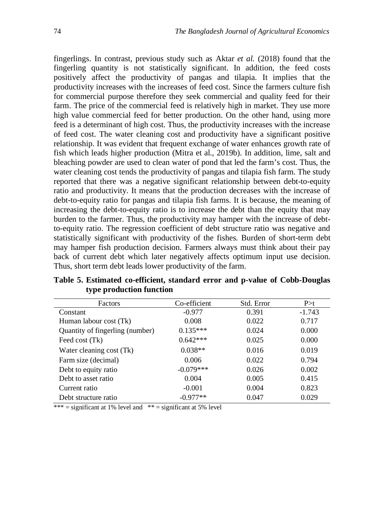fingerlings. In contrast, previous study such as Aktar *et al.* (2018) found that the fingerling quantity is not statistically significant. In addition, the feed costs positively affect the productivity of pangas and tilapia. It implies that the productivity increases with the increases of feed cost. Since the farmers culture fish for commercial purpose therefore they seek commercial and quality feed for their farm. The price of the commercial feed is relatively high in market. They use more high value commercial feed for better production. On the other hand, using more feed is a determinant of high cost. Thus, the productivity increases with the increase of feed cost. The water cleaning cost and productivity have a significant positive relationship. It was evident that frequent exchange of water enhances growth rate of fish which leads higher production (Mitra et al., 2019b). In addition, lime, salt and bleaching powder are used to clean water of pond that led the farm's cost. Thus, the water cleaning cost tends the productivity of pangas and tilapia fish farm. The study reported that there was a negative significant relationship between debt-to-equity ratio and productivity. It means that the production decreases with the increase of debt-to-equity ratio for pangas and tilapia fish farms. It is because, the meaning of increasing the debt-to-equity ratio is to increase the debt than the equity that may burden to the farmer. Thus, the productivity may hamper with the increase of debtto-equity ratio. The regression coefficient of debt structure ratio was negative and statistically significant with productivity of the fishes. Burden of short-term debt may hamper fish production decision. Farmers always must think about their pay back of current debt which later negatively affects optimum input use decision. Thus, short term debt leads lower productivity of the farm.

| Factors                         | Co-efficient | Std. Error | P>t      |
|---------------------------------|--------------|------------|----------|
| Constant                        | $-0.977$     | 0.391      | $-1.743$ |
| Human labour cost (Tk)          | 0.008        | 0.022      | 0.717    |
| Quantity of fingerling (number) | $0.135***$   | 0.024      | 0.000    |
| Feed cost (Tk)                  | $0.642***$   | 0.025      | 0.000    |
| Water cleaning cost (Tk)        | $0.038**$    | 0.016      | 0.019    |
| Farm size (decimal)             | 0.006        | 0.022      | 0.794    |
| Debt to equity ratio            | $-0.079***$  | 0.026      | 0.002    |
| Debt to asset ratio             | 0.004        | 0.005      | 0.415    |
| Current ratio                   | $-0.001$     | 0.004      | 0.823    |
| Debt structure ratio            | $-0.977**$   | 0.047      | 0.029    |

**Table 5. Estimated co-efficient, standard error and p-value of Cobb-Douglas type production function** 

\*\*\* = significant at 1% level and  $*$ \* = significant at 5% level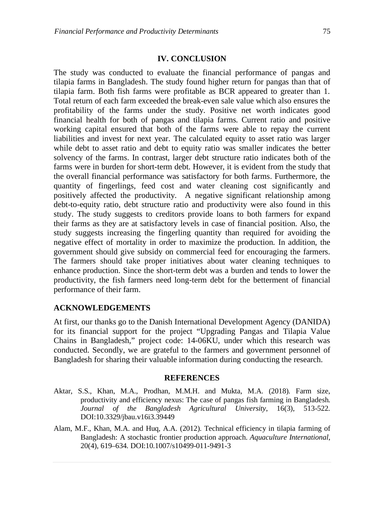### **IV. CONCLUSION**

The study was conducted to evaluate the financial performance of pangas and tilapia farms in Bangladesh. The study found higher return for pangas than that of tilapia farm. Both fish farms were profitable as BCR appeared to greater than 1. Total return of each farm exceeded the break-even sale value which also ensures the profitability of the farms under the study. Positive net worth indicates good financial health for both of pangas and tilapia farms. Current ratio and positive working capital ensured that both of the farms were able to repay the current liabilities and invest for next year. The calculated equity to asset ratio was larger while debt to asset ratio and debt to equity ratio was smaller indicates the better solvency of the farms. In contrast, larger debt structure ratio indicates both of the farms were in burden for short-term debt. However, it is evident from the study that the overall financial performance was satisfactory for both farms. Furthermore, the quantity of fingerlings, feed cost and water cleaning cost significantly and positively affected the productivity. A negative significant relationship among debt-to-equity ratio, debt structure ratio and productivity were also found in this study. The study suggests to creditors provide loans to both farmers for expand their farms as they are at satisfactory levels in case of financial position. Also, the study suggests increasing the fingerling quantity than required for avoiding the negative effect of mortality in order to maximize the production. In addition, the government should give subsidy on commercial feed for encouraging the farmers. The farmers should take proper initiatives about water cleaning techniques to enhance production. Since the short-term debt was a burden and tends to lower the productivity, the fish farmers need long-term debt for the betterment of financial performance of their farm.

### **ACKNOWLEDGEMENTS**

At first, our thanks go to the Danish International Development Agency (DANIDA) for its financial support for the project "Upgrading Pangas and Tilapia Value Chains in Bangladesh," project code: 14-06KU, under which this research was conducted. Secondly, we are grateful to the farmers and government personnel of Bangladesh for sharing their valuable information during conducting the research.

#### **REFERENCES**

- Aktar, S.S., Khan, M.A., Prodhan, M.M.H. and Mukta, M.A. (2018). Farm size, productivity and efficiency nexus: The case of pangas fish farming in Bangladesh. *Journal of the Bangladesh Agricultural University*, 16(3), 513-522. DOI:10.3329/jbau.v16i3.39449
- Alam, M.F., Khan, M.A. and Huq, A.A. (2012). Technical efficiency in tilapia farming of Bangladesh: A stochastic frontier production approach. *Aquaculture International*, 20(4), 619–634. DOI:10.1007/s10499-011-9491-3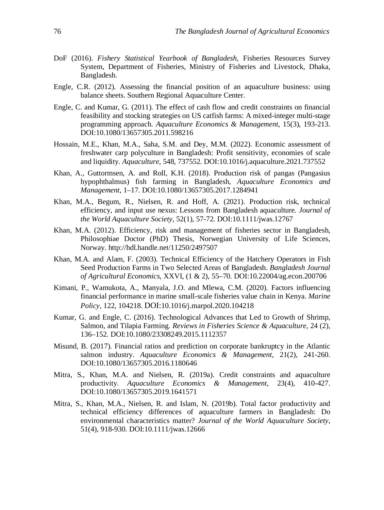- DoF (2016). *Fishery Statistical Yearbook of Bangladesh*, Fisheries Resources Survey System, Department of Fisheries, Ministry of Fisheries and Livestock, Dhaka, Bangladesh.
- Engle, C.R. (2012). Assessing the financial position of an aquaculture business: using balance sheets. Southern Regional Aquaculture Center.
- Engle, C. and Kumar, G. (2011). The effect of cash flow and credit constraints on financial feasibility and stocking strategies on US catfish farms: A mixed-integer multi-stage programming approach. *Aquaculture Economics & Management*, 15(3), 193-213. DOI:10.1080/13657305.2011.598216
- Hossain, M.E., Khan, M.A., Saha, S.M. and Dey, M.M. (2022). Economic assessment of freshwater carp polyculture in Bangladesh: Profit sensitivity, economies of scale and liquidity. *Aquaculture*, 548, 737552. DOI:10.1016/j.aquaculture.2021.737552
- Khan, A., Guttormsen, A. and Roll, K.H. (2018). Production risk of pangas (Pangasius hypophthalmus) fish farming in Bangladesh, *Aquaculture Economics and Management*, 1–17. DOI:10.1080/13657305.2017.1284941
- Khan, M.A., Begum, R., Nielsen, R. and Hoff, A. (2021). Production risk, technical efficiency, and input use nexus: Lessons from Bangladesh aquaculture. *Journal of the World Aquaculture Society*, 52(1), 57-72. DOI:10.1111/jwas.12767
- Khan, M.A. (2012). Efficiency, risk and management of fisheries sector in Bangladesh, Philosophiae Doctor (PhD) Thesis, Norwegian University of Life Sciences, Norway. http://hdl.handle.net/11250/2497507
- Khan, M.A. and Alam, F. (2003). Technical Efficiency of the Hatchery Operators in Fish Seed Production Farms in Two Selected Areas of Bangladesh. *Bangladesh Journal of Agricultural Economics*, XXVI, (1 & 2), 55–70. DOI:10.22004/ag.econ.200706
- Kimani, P., Wamukota, A., Manyala, J.O. and Mlewa, C.M. (2020). Factors influencing financial performance in marine small-scale fisheries value chain in Kenya. *Marine Policy*, 122, 104218. DOI:10.1016/j.marpol.2020.104218
- Kumar, G. and Engle, C. (2016). Technological Advances that Led to Growth of Shrimp, Salmon, and Tilapia Farming. *Reviews in Fisheries Science & Aquaculture*, 24 (2), 136–152. DOI:10.1080/23308249.2015.1112357
- Misund, B. (2017). Financial ratios and prediction on corporate bankruptcy in the Atlantic salmon industry. *Aquaculture Economics & Management*, 21(2), 241-260. DOI:10.1080/13657305.2016.1180646
- Mitra, S., Khan, M.A. and Nielsen, R. (2019a). Credit constraints and aquaculture productivity. *Aquaculture Economics & Management*, 23(4), 410-427. DOI:10.1080/13657305.2019.1641571
- Mitra, S., Khan, M.A., Nielsen, R. and Islam, N. (2019b). Total factor productivity and technical efficiency differences of aquaculture farmers in Bangladesh: Do environmental characteristics matter? *Journal of the World Aquaculture Society*, 51(4), 918-930. DOI:10.1111/jwas.12666